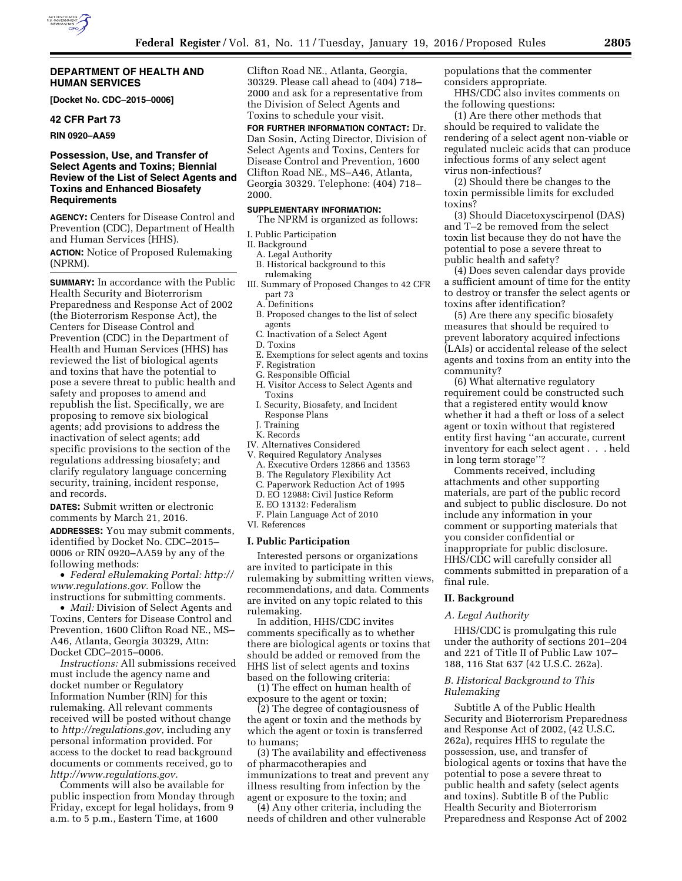### **DEPARTMENT OF HEALTH AND HUMAN SERVICES**

**[Docket No. CDC–2015–0006]** 

# **42 CFR Part 73**

**RIN 0920–AA59** 

# **Possession, Use, and Transfer of Select Agents and Toxins; Biennial Review of the List of Select Agents and Toxins and Enhanced Biosafety Requirements**

**AGENCY:** Centers for Disease Control and Prevention (CDC), Department of Health and Human Services (HHS).

**ACTION:** Notice of Proposed Rulemaking (NPRM).

**SUMMARY:** In accordance with the Public Health Security and Bioterrorism Preparedness and Response Act of 2002 (the Bioterrorism Response Act), the Centers for Disease Control and Prevention (CDC) in the Department of Health and Human Services (HHS) has reviewed the list of biological agents and toxins that have the potential to pose a severe threat to public health and safety and proposes to amend and republish the list. Specifically, we are proposing to remove six biological agents; add provisions to address the inactivation of select agents; add specific provisions to the section of the regulations addressing biosafety; and clarify regulatory language concerning security, training, incident response, and records.

**DATES:** Submit written or electronic comments by March 21, 2016. **ADDRESSES:** You may submit comments, identified by Docket No. CDC–2015– 0006 or RIN 0920–AA59 by any of the following methods:

• *Federal eRulemaking Portal: [http://](http://www.regulations.gov)  [www.regulations.gov.](http://www.regulations.gov)* Follow the instructions for submitting comments.

• *Mail:* Division of Select Agents and Toxins, Centers for Disease Control and Prevention, 1600 Clifton Road NE., MS– A46, Atlanta, Georgia 30329, Attn: Docket CDC–2015–0006.

*Instructions:* All submissions received must include the agency name and docket number or Regulatory Information Number (RIN) for this rulemaking. All relevant comments received will be posted without change to *[http://regulations.gov,](http://regulations.gov)* including any personal information provided. For access to the docket to read background documents or comments received, go to *[http://www.regulations.gov.](http://www.regulations.gov)* 

Comments will also be available for public inspection from Monday through Friday, except for legal holidays, from 9 a.m. to 5 p.m., Eastern Time, at 1600

Clifton Road NE., Atlanta, Georgia, 30329. Please call ahead to (404) 718– 2000 and ask for a representative from the Division of Select Agents and Toxins to schedule your visit.

**FOR FURTHER INFORMATION CONTACT:** Dr. Dan Sosin, Acting Director, Division of Select Agents and Toxins, Centers for Disease Control and Prevention, 1600 Clifton Road NE., MS–A46, Atlanta, Georgia 30329. Telephone: (404) 718– 2000.

### **SUPPLEMENTARY INFORMATION:**

The NPRM is organized as follows:

I. Public Participation

#### II. Background

- A. Legal Authority
- B. Historical background to this
- rulemaking III. Summary of Proposed Changes to 42 CFR part 73
	- A. Definitions
	- B. Proposed changes to the list of select agents
	- C. Inactivation of a Select Agent
	- D. Toxins
- E. Exemptions for select agents and toxins
- F. Registration
- G. Responsible Official
- H. Visitor Access to Select Agents and Toxins
- I. Security, Biosafety, and Incident Response Plans
- J. Training
- K. Records
- IV. Alternatives Considered V. Required Regulatory Analyses
	- A. Executive Orders 12866 and 13563
	- B. The Regulatory Flexibility Act
	- C. Paperwork Reduction Act of 1995
	- D. EO 12988: Civil Justice Reform
	- E. EO 13132: Federalism
- F. Plain Language Act of 2010
- VI. References

#### **I. Public Participation**

Interested persons or organizations are invited to participate in this rulemaking by submitting written views, recommendations, and data. Comments are invited on any topic related to this rulemaking.

In addition, HHS/CDC invites comments specifically as to whether there are biological agents or toxins that should be added or removed from the HHS list of select agents and toxins based on the following criteria:

(1) The effect on human health of exposure to the agent or toxin;

(2) The degree of contagiousness of the agent or toxin and the methods by which the agent or toxin is transferred to humans;

(3) The availability and effectiveness of pharmacotherapies and immunizations to treat and prevent any illness resulting from infection by the agent or exposure to the toxin; and

(4) Any other criteria, including the needs of children and other vulnerable populations that the commenter considers appropriate.

HHS/CDC also invites comments on the following questions:

(1) Are there other methods that should be required to validate the rendering of a select agent non-viable or regulated nucleic acids that can produce infectious forms of any select agent virus non-infectious?

(2) Should there be changes to the toxin permissible limits for excluded toxins?

(3) Should Diacetoxyscirpenol (DAS) and T–2 be removed from the select toxin list because they do not have the potential to pose a severe threat to public health and safety?

(4) Does seven calendar days provide a sufficient amount of time for the entity to destroy or transfer the select agents or toxins after identification?

(5) Are there any specific biosafety measures that should be required to prevent laboratory acquired infections (LAIs) or accidental release of the select agents and toxins from an entity into the community?

(6) What alternative regulatory requirement could be constructed such that a registered entity would know whether it had a theft or loss of a select agent or toxin without that registered entity first having ''an accurate, current inventory for each select agent . . . held in long term storage''?

Comments received, including attachments and other supporting materials, are part of the public record and subject to public disclosure. Do not include any information in your comment or supporting materials that you consider confidential or inappropriate for public disclosure. HHS/CDC will carefully consider all comments submitted in preparation of a final rule.

# **II. Background**

### *A. Legal Authority*

HHS/CDC is promulgating this rule under the authority of sections 201–204 and 221 of Title II of Public Law 107– 188, 116 Stat 637 (42 U.S.C. 262a).

### *B. Historical Background to This Rulemaking*

Subtitle A of the Public Health Security and Bioterrorism Preparedness and Response Act of 2002, (42 U.S.C. 262a), requires HHS to regulate the possession, use, and transfer of biological agents or toxins that have the potential to pose a severe threat to public health and safety (select agents and toxins). Subtitle B of the Public Health Security and Bioterrorism Preparedness and Response Act of 2002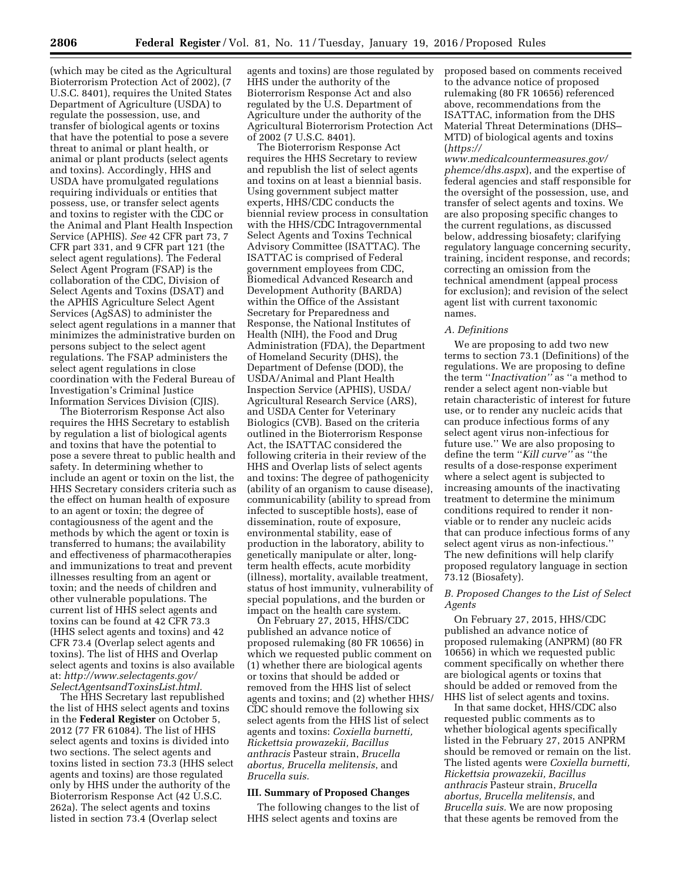(which may be cited as the Agricultural Bioterrorism Protection Act of 2002), (7 U.S.C. 8401), requires the United States Department of Agriculture (USDA) to regulate the possession, use, and transfer of biological agents or toxins that have the potential to pose a severe threat to animal or plant health, or animal or plant products (select agents and toxins). Accordingly, HHS and USDA have promulgated regulations requiring individuals or entities that possess, use, or transfer select agents and toxins to register with the CDC or the Animal and Plant Health Inspection Service (APHIS). *See* 42 CFR part 73, 7 CFR part 331, and 9 CFR part 121 (the select agent regulations). The Federal Select Agent Program (FSAP) is the collaboration of the CDC, Division of Select Agents and Toxins (DSAT) and the APHIS Agriculture Select Agent Services (AgSAS) to administer the select agent regulations in a manner that minimizes the administrative burden on persons subject to the select agent regulations. The FSAP administers the select agent regulations in close coordination with the Federal Bureau of Investigation's Criminal Justice Information Services Division (CJIS).

The Bioterrorism Response Act also requires the HHS Secretary to establish by regulation a list of biological agents and toxins that have the potential to pose a severe threat to public health and safety. In determining whether to include an agent or toxin on the list, the HHS Secretary considers criteria such as the effect on human health of exposure to an agent or toxin; the degree of contagiousness of the agent and the methods by which the agent or toxin is transferred to humans; the availability and effectiveness of pharmacotherapies and immunizations to treat and prevent illnesses resulting from an agent or toxin; and the needs of children and other vulnerable populations. The current list of HHS select agents and toxins can be found at 42 CFR 73.3 (HHS select agents and toxins) and 42 CFR 73.4 (Overlap select agents and toxins). The list of HHS and Overlap select agents and toxins is also available at: *[http://www.selectagents.gov/](http://www.selectagents.gov/SelectAgentsandToxinsList.html) [SelectAgentsandToxinsList.html.](http://www.selectagents.gov/SelectAgentsandToxinsList.html)* 

The HHS Secretary last republished the list of HHS select agents and toxins in the **Federal Register** on October 5, 2012 (77 FR 61084). The list of HHS select agents and toxins is divided into two sections. The select agents and toxins listed in section 73.3 (HHS select agents and toxins) are those regulated only by HHS under the authority of the Bioterrorism Response Act (42 U.S.C. 262a). The select agents and toxins listed in section 73.4 (Overlap select

agents and toxins) are those regulated by HHS under the authority of the Bioterrorism Response Act and also regulated by the U.S. Department of Agriculture under the authority of the Agricultural Bioterrorism Protection Act of 2002 (7 U.S.C. 8401).

The Bioterrorism Response Act requires the HHS Secretary to review and republish the list of select agents and toxins on at least a biennial basis. Using government subject matter experts, HHS/CDC conducts the biennial review process in consultation with the HHS/CDC Intragovernmental Select Agents and Toxins Technical Advisory Committee (ISATTAC). The ISATTAC is comprised of Federal government employees from CDC, Biomedical Advanced Research and Development Authority (BARDA) within the Office of the Assistant Secretary for Preparedness and Response, the National Institutes of Health (NIH), the Food and Drug Administration (FDA), the Department of Homeland Security (DHS), the Department of Defense (DOD), the USDA/Animal and Plant Health Inspection Service (APHIS), USDA/ Agricultural Research Service (ARS), and USDA Center for Veterinary Biologics (CVB). Based on the criteria outlined in the Bioterrorism Response Act, the ISATTAC considered the following criteria in their review of the HHS and Overlap lists of select agents and toxins: The degree of pathogenicity (ability of an organism to cause disease), communicability (ability to spread from infected to susceptible hosts), ease of dissemination, route of exposure, environmental stability, ease of production in the laboratory, ability to genetically manipulate or alter, longterm health effects, acute morbidity (illness), mortality, available treatment, status of host immunity, vulnerability of special populations, and the burden or impact on the health care system.

On February 27, 2015, HHS/CDC published an advance notice of proposed rulemaking (80 FR 10656) in which we requested public comment on (1) whether there are biological agents or toxins that should be added or removed from the HHS list of select agents and toxins; and (2) whether HHS/ CDC should remove the following six select agents from the HHS list of select agents and toxins: *Coxiella burnetti, Rickettsia prowazekii, Bacillus anthracis* Pasteur strain, *Brucella abortus, Brucella melitensis*, and *Brucella suis.* 

# **III. Summary of Proposed Changes**

The following changes to the list of HHS select agents and toxins are

proposed based on comments received to the advance notice of proposed rulemaking (80 FR 10656) referenced above, recommendations from the ISATTAC, information from the DHS Material Threat Determinations (DHS– MTD) of biological agents and toxins (*[https://](https://www.medicalcountermeasures.gov/phemce/dhs.aspx)*

*[www.medicalcountermeasures.gov/](https://www.medicalcountermeasures.gov/phemce/dhs.aspx) [phemce/dhs.aspx](https://www.medicalcountermeasures.gov/phemce/dhs.aspx)*), and the expertise of federal agencies and staff responsible for the oversight of the possession, use, and transfer of select agents and toxins. We are also proposing specific changes to the current regulations, as discussed below, addressing biosafety; clarifying regulatory language concerning security, training, incident response, and records; correcting an omission from the technical amendment (appeal process for exclusion); and revision of the select agent list with current taxonomic names.

### *A. Definitions*

We are proposing to add two new terms to section 73.1 (Definitions) of the regulations. We are proposing to define the term ''*Inactivation''* as ''a method to render a select agent non-viable but retain characteristic of interest for future use, or to render any nucleic acids that can produce infectious forms of any select agent virus non-infectious for future use.'' We are also proposing to define the term ''*Kill curve''* as ''the results of a dose-response experiment where a select agent is subjected to increasing amounts of the inactivating treatment to determine the minimum conditions required to render it nonviable or to render any nucleic acids that can produce infectious forms of any select agent virus as non-infectious.'' The new definitions will help clarify proposed regulatory language in section 73.12 (Biosafety).

# *B. Proposed Changes to the List of Select Agents*

On February 27, 2015, HHS/CDC published an advance notice of proposed rulemaking (ANPRM) (80 FR 10656) in which we requested public comment specifically on whether there are biological agents or toxins that should be added or removed from the HHS list of select agents and toxins.

In that same docket, HHS/CDC also requested public comments as to whether biological agents specifically listed in the February 27, 2015 ANPRM should be removed or remain on the list. The listed agents were *Coxiella burnetti, Rickettsia prowazekii, Bacillus anthracis* Pasteur strain, *Brucella abortus, Brucella melitensis*, and *Brucella suis.* We are now proposing that these agents be removed from the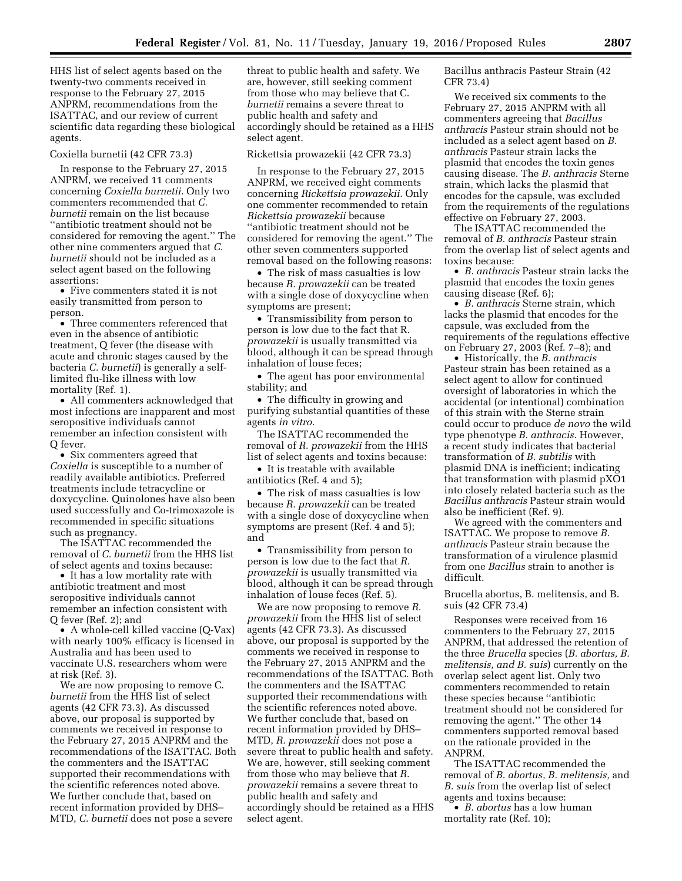HHS list of select agents based on the twenty-two comments received in response to the February 27, 2015 ANPRM, recommendations from the ISATTAC, and our review of current scientific data regarding these biological agents.

### Coxiella burnetii (42 CFR 73.3)

In response to the February 27, 2015 ANPRM, we received 11 comments concerning *Coxiella burnetii.* Only two commenters recommended that *C. burnetii* remain on the list because ''antibiotic treatment should not be considered for removing the agent.'' The other nine commenters argued that *C. burnetii* should not be included as a select agent based on the following assertions:

• Five commenters stated it is not easily transmitted from person to person.

• Three commenters referenced that even in the absence of antibiotic treatment, Q fever (the disease with acute and chronic stages caused by the bacteria *C. burnetii*) is generally a selflimited flu-like illness with low mortality (Ref. 1).

• All commenters acknowledged that most infections are inapparent and most seropositive individuals cannot remember an infection consistent with Q fever.

• Six commenters agreed that *Coxiella* is susceptible to a number of readily available antibiotics. Preferred treatments include tetracycline or doxycycline. Quinolones have also been used successfully and Co-trimoxazole is recommended in specific situations such as pregnancy.

The ISATTAC recommended the removal of *C. burnetii* from the HHS list of select agents and toxins because:

• It has a low mortality rate with antibiotic treatment and most seropositive individuals cannot remember an infection consistent with Q fever (Ref. 2); and

• A whole-cell killed vaccine (Q-Vax) with nearly 100% efficacy is licensed in Australia and has been used to vaccinate U.S. researchers whom were at risk (Ref. 3).

We are now proposing to remove C. *burnetii* from the HHS list of select agents (42 CFR 73.3). As discussed above, our proposal is supported by comments we received in response to the February 27, 2015 ANPRM and the recommendations of the ISATTAC. Both the commenters and the ISATTAC supported their recommendations with the scientific references noted above. We further conclude that, based on recent information provided by DHS– MTD, *C. burnetii* does not pose a severe

threat to public health and safety. We are, however, still seeking comment from those who may believe that C. *burnetii* remains a severe threat to public health and safety and accordingly should be retained as a HHS select agent.

#### Rickettsia prowazekii (42 CFR 73.3)

In response to the February 27, 2015 ANPRM, we received eight comments concerning *Rickettsia prowazekii.* Only one commenter recommended to retain *Rickettsia prowazekii* because ''antibiotic treatment should not be considered for removing the agent.'' The other seven commenters supported removal based on the following reasons:

• The risk of mass casualties is low because *R. prowazekii* can be treated with a single dose of doxycycline when symptoms are present;

• Transmissibility from person to person is low due to the fact that R. *prowazekii* is usually transmitted via blood, although it can be spread through inhalation of louse feces;

• The agent has poor environmental stability; and

• The difficulty in growing and purifying substantial quantities of these agents *in vitro.* 

The ISATTAC recommended the removal of *R. prowazekii* from the HHS list of select agents and toxins because:

• It is treatable with available antibiotics (Ref. 4 and 5);

• The risk of mass casualties is low because *R. prowazekii* can be treated with a single dose of doxycycline when symptoms are present (Ref. 4 and 5); and

• Transmissibility from person to person is low due to the fact that *R. prowazekii* is usually transmitted via blood, although it can be spread through inhalation of louse feces (Ref. 5).

We are now proposing to remove *R. prowazekii* from the HHS list of select agents (42 CFR 73.3). As discussed above, our proposal is supported by the comments we received in response to the February 27, 2015 ANPRM and the recommendations of the ISATTAC. Both the commenters and the ISATTAC supported their recommendations with the scientific references noted above. We further conclude that, based on recent information provided by DHS– MTD, *R. prowazekii* does not pose a severe threat to public health and safety. We are, however, still seeking comment from those who may believe that *R. prowazekii* remains a severe threat to public health and safety and accordingly should be retained as a HHS select agent.

Bacillus anthracis Pasteur Strain (42 CFR 73.4)

We received six comments to the February 27, 2015 ANPRM with all commenters agreeing that *Bacillus anthracis* Pasteur strain should not be included as a select agent based on *B. anthracis* Pasteur strain lacks the plasmid that encodes the toxin genes causing disease. The *B. anthracis* Sterne strain, which lacks the plasmid that encodes for the capsule, was excluded from the requirements of the regulations effective on February 27, 2003.

The ISATTAC recommended the removal of *B. anthracis* Pasteur strain from the overlap list of select agents and toxins because:

• *B. anthracis* Pasteur strain lacks the plasmid that encodes the toxin genes causing disease (Ref. 6);

• *B. anthracis* Sterne strain, which lacks the plasmid that encodes for the capsule, was excluded from the requirements of the regulations effective on February 27, 2003 (Ref. 7–8); and

• Historically, the *B. anthracis*  Pasteur strain has been retained as a select agent to allow for continued oversight of laboratories in which the accidental (or intentional) combination of this strain with the Sterne strain could occur to produce *de novo* the wild type phenotype *B. anthracis.* However, a recent study indicates that bacterial transformation of *B. subtilis* with plasmid DNA is inefficient; indicating that transformation with plasmid pXO1 into closely related bacteria such as the *Bacillus anthracis* Pasteur strain would also be inefficient (Ref. 9).

We agreed with the commenters and ISATTAC. We propose to remove *B. anthracis* Pasteur strain because the transformation of a virulence plasmid from one *Bacillus* strain to another is difficult.

Brucella abortus, B. melitensis, and B. suis (42 CFR 73.4)

Responses were received from 16 commenters to the February 27, 2015 ANPRM, that addressed the retention of the three *Brucella* species (*B. abortus, B. melitensis, and B. suis*) currently on the overlap select agent list. Only two commenters recommended to retain these species because ''antibiotic treatment should not be considered for removing the agent.'' The other 14 commenters supported removal based on the rationale provided in the ANPRM.

The ISATTAC recommended the removal of *B. abortus, B. melitensis,* and *B. suis* from the overlap list of select agents and toxins because:

• *B. abortus* has a low human mortality rate (Ref. 10);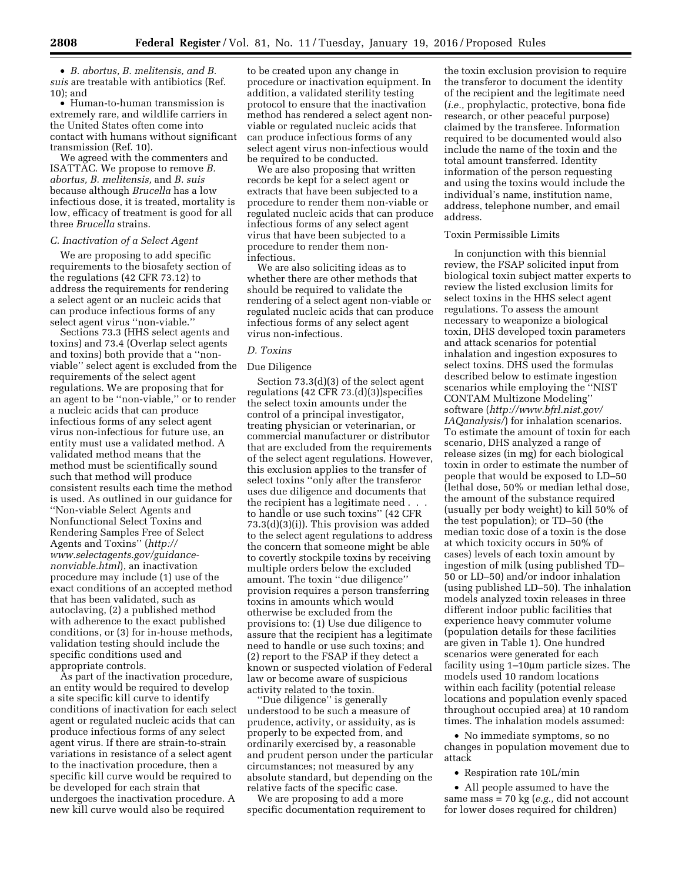• *B. abortus, B. melitensis, and B. suis* are treatable with antibiotics (Ref. 10); and

• Human-to-human transmission is extremely rare, and wildlife carriers in the United States often come into contact with humans without significant transmission (Ref. 10).

We agreed with the commenters and ISATTAC. We propose to remove *B. abortus, B. melitensis,* and *B. suis*  because although *Brucella* has a low infectious dose, it is treated, mortality is low, efficacy of treatment is good for all three *Brucella* strains.

## *C. Inactivation of a Select Agent*

We are proposing to add specific requirements to the biosafety section of the regulations (42 CFR 73.12) to address the requirements for rendering a select agent or an nucleic acids that can produce infectious forms of any select agent virus ''non-viable.''

Sections 73.3 (HHS select agents and toxins) and 73.4 (Overlap select agents and toxins) both provide that a ''nonviable'' select agent is excluded from the requirements of the select agent regulations. We are proposing that for an agent to be ''non-viable,'' or to render a nucleic acids that can produce infectious forms of any select agent virus non-infectious for future use, an entity must use a validated method. A validated method means that the method must be scientifically sound such that method will produce consistent results each time the method is used. As outlined in our guidance for ''Non-viable Select Agents and Nonfunctional Select Toxins and Rendering Samples Free of Select Agents and Toxins'' (*[http://](http://www.selectagents.gov/guidance-nonviable.html) [www.selectagents.gov/guidance](http://www.selectagents.gov/guidance-nonviable.html)[nonviable.html](http://www.selectagents.gov/guidance-nonviable.html)*), an inactivation procedure may include (1) use of the exact conditions of an accepted method that has been validated, such as autoclaving, (2) a published method with adherence to the exact published conditions, or (3) for in-house methods, validation testing should include the specific conditions used and appropriate controls.

As part of the inactivation procedure, an entity would be required to develop a site specific kill curve to identify conditions of inactivation for each select agent or regulated nucleic acids that can produce infectious forms of any select agent virus. If there are strain-to-strain variations in resistance of a select agent to the inactivation procedure, then a specific kill curve would be required to be developed for each strain that undergoes the inactivation procedure. A new kill curve would also be required

to be created upon any change in procedure or inactivation equipment. In addition, a validated sterility testing protocol to ensure that the inactivation method has rendered a select agent nonviable or regulated nucleic acids that can produce infectious forms of any select agent virus non-infectious would be required to be conducted.

We are also proposing that written records be kept for a select agent or extracts that have been subjected to a procedure to render them non-viable or regulated nucleic acids that can produce infectious forms of any select agent virus that have been subjected to a procedure to render them noninfectious.

We are also soliciting ideas as to whether there are other methods that should be required to validate the rendering of a select agent non-viable or regulated nucleic acids that can produce infectious forms of any select agent virus non-infectious.

### *D. Toxins*

#### Due Diligence

Section 73.3(d)(3) of the select agent regulations (42 CFR 73.(d)(3))specifies the select toxin amounts under the control of a principal investigator, treating physician or veterinarian, or commercial manufacturer or distributor that are excluded from the requirements of the select agent regulations. However, this exclusion applies to the transfer of select toxins ''only after the transferor uses due diligence and documents that the recipient has a legitimate need . . . to handle or use such toxins'' (42 CFR 73.3(d)(3)(i)). This provision was added to the select agent regulations to address the concern that someone might be able to covertly stockpile toxins by receiving multiple orders below the excluded amount. The toxin ''due diligence'' provision requires a person transferring toxins in amounts which would otherwise be excluded from the provisions to: (1) Use due diligence to assure that the recipient has a legitimate need to handle or use such toxins; and (2) report to the FSAP if they detect a known or suspected violation of Federal law or become aware of suspicious activity related to the toxin.

'Due diligence'' is generally understood to be such a measure of prudence, activity, or assiduity, as is properly to be expected from, and ordinarily exercised by, a reasonable and prudent person under the particular circumstances; not measured by any absolute standard, but depending on the relative facts of the specific case.

We are proposing to add a more specific documentation requirement to

the toxin exclusion provision to require the transferor to document the identity of the recipient and the legitimate need (*i.e.,* prophylactic, protective, bona fide research, or other peaceful purpose) claimed by the transferee. Information required to be documented would also include the name of the toxin and the total amount transferred. Identity information of the person requesting and using the toxins would include the individual's name, institution name, address, telephone number, and email address.

### Toxin Permissible Limits

In conjunction with this biennial review, the FSAP solicited input from biological toxin subject matter experts to review the listed exclusion limits for select toxins in the HHS select agent regulations. To assess the amount necessary to weaponize a biological toxin, DHS developed toxin parameters and attack scenarios for potential inhalation and ingestion exposures to select toxins. DHS used the formulas described below to estimate ingestion scenarios while employing the ''NIST CONTAM Multizone Modeling'' software (*[http://www.bfrl.nist.gov/](http://www.bfrl.nist.gov/IAQanalysis/) [IAQanalysis/](http://www.bfrl.nist.gov/IAQanalysis/)*) for inhalation scenarios. To estimate the amount of toxin for each scenario, DHS analyzed a range of release sizes (in mg) for each biological toxin in order to estimate the number of people that would be exposed to LD–50 (lethal dose, 50% or median lethal dose, the amount of the substance required (usually per body weight) to kill 50% of the test population); or TD–50 (the median toxic dose of a toxin is the dose at which toxicity occurs in 50% of cases) levels of each toxin amount by ingestion of milk (using published TD– 50 or LD–50) and/or indoor inhalation (using published LD–50). The inhalation models analyzed toxin releases in three different indoor public facilities that experience heavy commuter volume (population details for these facilities are given in Table 1). One hundred scenarios were generated for each facility using 1–10µm particle sizes. The models used 10 random locations within each facility (potential release locations and population evenly spaced throughout occupied area) at 10 random times. The inhalation models assumed:

• No immediate symptoms, so no changes in population movement due to attack

• Respiration rate 10L/min

• All people assumed to have the same mass = 70 kg (*e.g.,* did not account for lower doses required for children)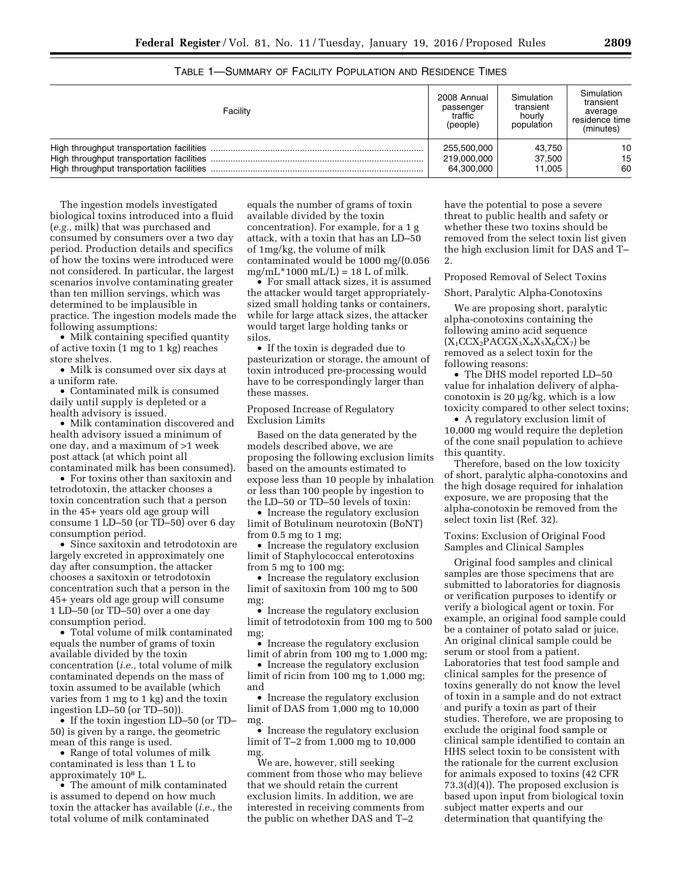| Facility | 2008 Annual<br>passenger<br>traffic<br>(people) | Simulation<br>transient<br>hourly<br>population | Simulation<br>transient<br>average<br>residence time<br>(minutes) |
|----------|-------------------------------------------------|-------------------------------------------------|-------------------------------------------------------------------|
|          | 255,500,000                                     | 43.750                                          | 10                                                                |
|          | 219.000.000                                     | 37.500                                          | 15                                                                |
|          | 64,300,000                                      | 11.005                                          | 60                                                                |

TABLE 1—SUMMARY OF FACILITY POPULATION AND RESIDENCE TIMES

The ingestion models investigated biological toxins introduced into a fluid (*e.g.,* milk) that was purchased and consumed by consumers over a two day period. Production details and specifics of how the toxins were introduced were not considered. In particular, the largest scenarios involve contaminating greater than ten million servings, which was determined to be implausible in practice. The ingestion models made the following assumptions:

• Milk containing specified quantity of active toxin (1 mg to 1 kg) reaches store shelves.

• Milk is consumed over six days at a uniform rate.

• Contaminated milk is consumed daily until supply is depleted or a health advisory is issued.

• Milk contamination discovered and health advisory issued a minimum of one day, and a maximum of >1 week post attack (at which point all contaminated milk has been consumed).

• For toxins other than saxitoxin and tetrodotoxin, the attacker chooses a toxin concentration such that a person in the 45+ years old age group will consume 1 LD–50 (or TD–50) over 6 day consumption period.

• Since saxitoxin and tetrodotoxin are largely excreted in approximately one day after consumption, the attacker chooses a saxitoxin or tetrodotoxin concentration such that a person in the 45+ years old age group will consume 1 LD–50 (or TD–50) over a one day consumption period.

• Total volume of milk contaminated equals the number of grams of toxin available divided by the toxin concentration (*i.e.,* total volume of milk contaminated depends on the mass of toxin assumed to be available (which varies from 1 mg to 1 kg) and the toxin ingestion LD–50 (or TD–50)).

• If the toxin ingestion LD–50 (or TD– 50) is given by a range, the geometric mean of this range is used.

• Range of total volumes of milk contaminated is less than 1 L to approximately 108 L.

• The amount of milk contaminated is assumed to depend on how much toxin the attacker has available (*i.e.,* the total volume of milk contaminated

equals the number of grams of toxin available divided by the toxin concentration). For example, for a 1 g attack, with a toxin that has an LD–50 of 1mg/kg, the volume of milk contaminated would be 1000 mg/(0.056  $mg/mL*1000 mL/L = 18 L of milk.$ 

• For small attack sizes, it is assumed the attacker would target appropriatelysized small holding tanks or containers, while for large attack sizes, the attacker would target large holding tanks or silos.

• If the toxin is degraded due to pasteurization or storage, the amount of toxin introduced pre-processing would have to be correspondingly larger than these masses.

Proposed Increase of Regulatory Exclusion Limits

Based on the data generated by the models described above, we are proposing the following exclusion limits based on the amounts estimated to expose less than 10 people by inhalation or less than 100 people by ingestion to the LD–50 or TD–50 levels of toxin:

• Increase the regulatory exclusion limit of Botulinum neurotoxin (BoNT) from 0.5 mg to 1 mg;

• Increase the regulatory exclusion limit of Staphylococcal enterotoxins from 5 mg to 100 mg;

• Increase the regulatory exclusion limit of saxitoxin from 100 mg to 500 mg;

• Increase the regulatory exclusion limit of tetrodotoxin from 100 mg to 500 mg;

• Increase the regulatory exclusion limit of abrin from 100 mg to 1,000 mg;

• Increase the regulatory exclusion limit of ricin from 100 mg to 1,000 mg; and

• Increase the regulatory exclusion limit of DAS from 1,000 mg to 10,000 mg.

• Increase the regulatory exclusion limit of T–2 from 1,000 mg to 10,000 mg.

We are, however, still seeking comment from those who may believe that we should retain the current exclusion limits. In addition, we are interested in receiving comments from the public on whether DAS and T–2

have the potential to pose a severe threat to public health and safety or whether these two toxins should be removed from the select toxin list given the high exclusion limit for DAS and T– 2.

Proposed Removal of Select Toxins

# Short, Paralytic Alpha-Conotoxins

We are proposing short, paralytic alpha-conotoxins containing the following amino acid sequence  $(X_1CCX_2PACGX_3X_4X_5X_6CX_7)$  be removed as a select toxin for the following reasons:

• The DHS model reported LD–50 value for inhalation delivery of alphaconotoxin is 20  $\mu$ g/kg, which is a low toxicity compared to other select toxins;

• A regulatory exclusion limit of 10,000 mg would require the depletion of the cone snail population to achieve this quantity.

Therefore, based on the low toxicity of short, paralytic alpha-conotoxins and the high dosage required for inhalation exposure, we are proposing that the alpha-conotoxin be removed from the select toxin list (Ref. 32).

Toxins: Exclusion of Original Food Samples and Clinical Samples

Original food samples and clinical samples are those specimens that are submitted to laboratories for diagnosis or verification purposes to identify or verify a biological agent or toxin. For example, an original food sample could be a container of potato salad or juice. An original clinical sample could be serum or stool from a patient. Laboratories that test food sample and clinical samples for the presence of toxins generally do not know the level of toxin in a sample and do not extract and purify a toxin as part of their studies. Therefore, we are proposing to exclude the original food sample or clinical sample identified to contain an HHS select toxin to be consistent with the rationale for the current exclusion for animals exposed to toxins (42 CFR 73.3(d)(4)). The proposed exclusion is based upon input from biological toxin subject matter experts and our determination that quantifying the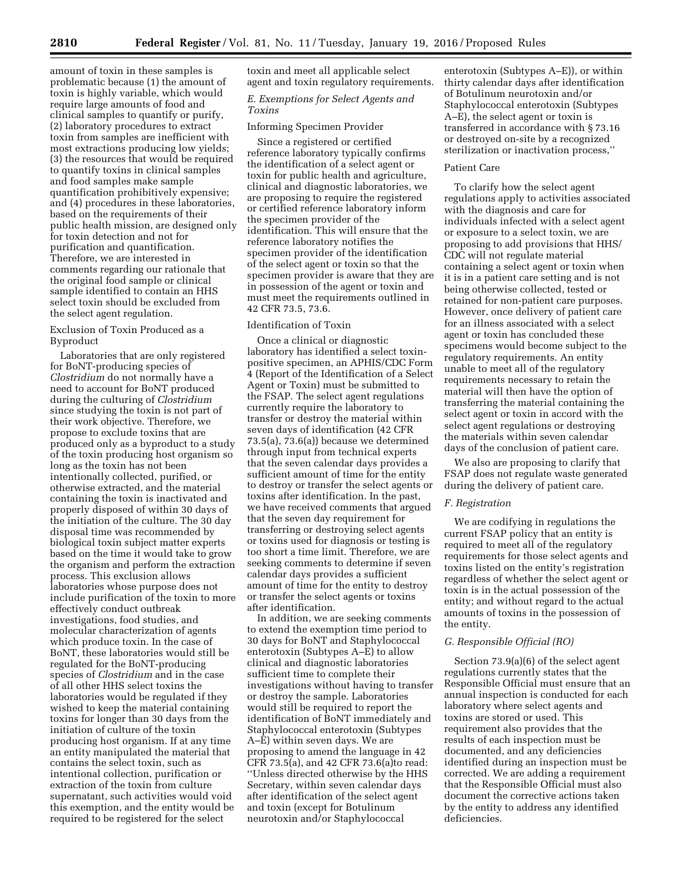amount of toxin in these samples is problematic because (1) the amount of toxin is highly variable, which would require large amounts of food and clinical samples to quantify or purify, (2) laboratory procedures to extract toxin from samples are inefficient with most extractions producing low yields; (3) the resources that would be required to quantify toxins in clinical samples and food samples make sample quantification prohibitively expensive; and (4) procedures in these laboratories, based on the requirements of their public health mission, are designed only for toxin detection and not for purification and quantification. Therefore, we are interested in comments regarding our rationale that the original food sample or clinical sample identified to contain an HHS select toxin should be excluded from the select agent regulation.

# Exclusion of Toxin Produced as a Byproduct

Laboratories that are only registered for BoNT-producing species of *Clostridium* do not normally have a need to account for BoNT produced during the culturing of *Clostridium*  since studying the toxin is not part of their work objective. Therefore, we propose to exclude toxins that are produced only as a byproduct to a study of the toxin producing host organism so long as the toxin has not been intentionally collected, purified, or otherwise extracted, and the material containing the toxin is inactivated and properly disposed of within 30 days of the initiation of the culture. The 30 day disposal time was recommended by biological toxin subject matter experts based on the time it would take to grow the organism and perform the extraction process. This exclusion allows laboratories whose purpose does not include purification of the toxin to more effectively conduct outbreak investigations, food studies, and molecular characterization of agents which produce toxin. In the case of BoNT, these laboratories would still be regulated for the BoNT-producing species of *Clostridium* and in the case of all other HHS select toxins the laboratories would be regulated if they wished to keep the material containing toxins for longer than 30 days from the initiation of culture of the toxin producing host organism. If at any time an entity manipulated the material that contains the select toxin, such as intentional collection, purification or extraction of the toxin from culture supernatant, such activities would void this exemption, and the entity would be required to be registered for the select

toxin and meet all applicable select agent and toxin regulatory requirements.

# *E. Exemptions for Select Agents and Toxins*

# Informing Specimen Provider

Since a registered or certified reference laboratory typically confirms the identification of a select agent or toxin for public health and agriculture, clinical and diagnostic laboratories, we are proposing to require the registered or certified reference laboratory inform the specimen provider of the identification. This will ensure that the reference laboratory notifies the specimen provider of the identification of the select agent or toxin so that the specimen provider is aware that they are in possession of the agent or toxin and must meet the requirements outlined in 42 CFR 73.5, 73.6.

# Identification of Toxin

Once a clinical or diagnostic laboratory has identified a select toxinpositive specimen, an APHIS/CDC Form 4 (Report of the Identification of a Select Agent or Toxin) must be submitted to the FSAP. The select agent regulations currently require the laboratory to transfer or destroy the material within seven days of identification (42 CFR 73.5(a), 73.6(a)) because we determined through input from technical experts that the seven calendar days provides a sufficient amount of time for the entity to destroy or transfer the select agents or toxins after identification. In the past, we have received comments that argued that the seven day requirement for transferring or destroying select agents or toxins used for diagnosis or testing is too short a time limit. Therefore, we are seeking comments to determine if seven calendar days provides a sufficient amount of time for the entity to destroy or transfer the select agents or toxins after identification.

In addition, we are seeking comments to extend the exemption time period to 30 days for BoNT and Staphylococcal enterotoxin (Subtypes A–E) to allow clinical and diagnostic laboratories sufficient time to complete their investigations without having to transfer or destroy the sample. Laboratories would still be required to report the identification of BoNT immediately and Staphylococcal enterotoxin (Subtypes A–E) within seven days. We are proposing to amend the language in 42 CFR 73.5(a), and 42 CFR 73.6(a)to read: ''Unless directed otherwise by the HHS Secretary, within seven calendar days after identification of the select agent and toxin (except for Botulinum neurotoxin and/or Staphylococcal

enterotoxin (Subtypes A–E)), or within thirty calendar days after identification of Botulinum neurotoxin and/or Staphylococcal enterotoxin (Subtypes A–E), the select agent or toxin is transferred in accordance with § 73.16 or destroyed on-site by a recognized sterilization or inactivation process,''

### Patient Care

To clarify how the select agent regulations apply to activities associated with the diagnosis and care for individuals infected with a select agent or exposure to a select toxin, we are proposing to add provisions that HHS/ CDC will not regulate material containing a select agent or toxin when it is in a patient care setting and is not being otherwise collected, tested or retained for non-patient care purposes. However, once delivery of patient care for an illness associated with a select agent or toxin has concluded these specimens would become subject to the regulatory requirements. An entity unable to meet all of the regulatory requirements necessary to retain the material will then have the option of transferring the material containing the select agent or toxin in accord with the select agent regulations or destroying the materials within seven calendar days of the conclusion of patient care.

We also are proposing to clarify that FSAP does not regulate waste generated during the delivery of patient care.

# *F. Registration*

We are codifying in regulations the current FSAP policy that an entity is required to meet all of the regulatory requirements for those select agents and toxins listed on the entity's registration regardless of whether the select agent or toxin is in the actual possession of the entity; and without regard to the actual amounts of toxins in the possession of the entity.

### *G. Responsible Official (RO)*

Section 73.9(a)(6) of the select agent regulations currently states that the Responsible Official must ensure that an annual inspection is conducted for each laboratory where select agents and toxins are stored or used. This requirement also provides that the results of each inspection must be documented, and any deficiencies identified during an inspection must be corrected. We are adding a requirement that the Responsible Official must also document the corrective actions taken by the entity to address any identified deficiencies.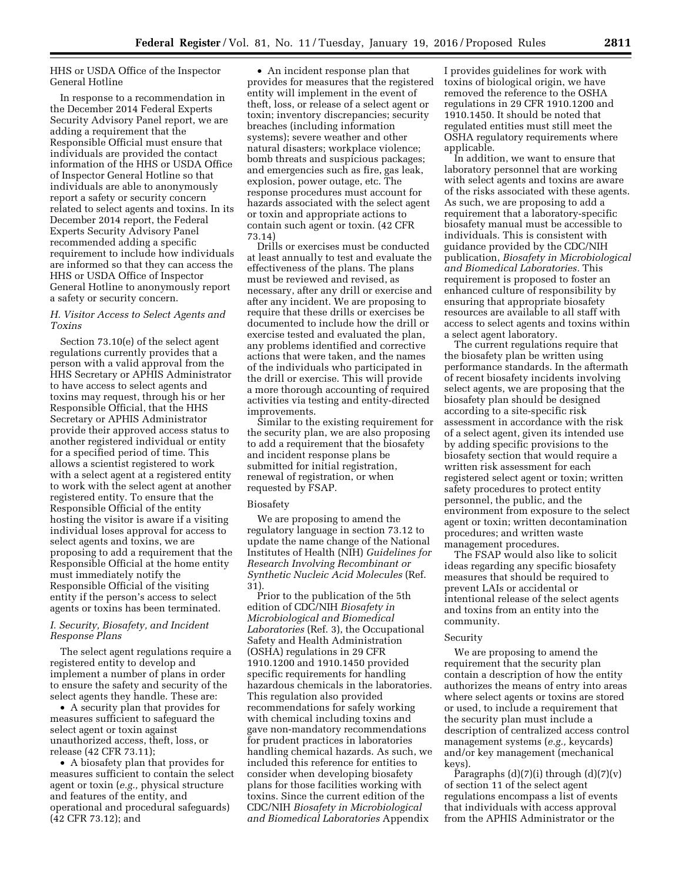# HHS or USDA Office of the Inspector General Hotline

In response to a recommendation in the December 2014 Federal Experts Security Advisory Panel report, we are adding a requirement that the Responsible Official must ensure that individuals are provided the contact information of the HHS or USDA Office of Inspector General Hotline so that individuals are able to anonymously report a safety or security concern related to select agents and toxins. In its December 2014 report, the Federal Experts Security Advisory Panel recommended adding a specific requirement to include how individuals are informed so that they can access the HHS or USDA Office of Inspector General Hotline to anonymously report a safety or security concern.

# *H. Visitor Access to Select Agents and Toxins*

Section 73.10(e) of the select agent regulations currently provides that a person with a valid approval from the HHS Secretary or APHIS Administrator to have access to select agents and toxins may request, through his or her Responsible Official, that the HHS Secretary or APHIS Administrator provide their approved access status to another registered individual or entity for a specified period of time. This allows a scientist registered to work with a select agent at a registered entity to work with the select agent at another registered entity. To ensure that the Responsible Official of the entity hosting the visitor is aware if a visiting individual loses approval for access to select agents and toxins, we are proposing to add a requirement that the Responsible Official at the home entity must immediately notify the Responsible Official of the visiting entity if the person's access to select agents or toxins has been terminated.

# *I. Security, Biosafety, and Incident Response Plans*

The select agent regulations require a registered entity to develop and implement a number of plans in order to ensure the safety and security of the select agents they handle. These are:

• A security plan that provides for measures sufficient to safeguard the select agent or toxin against unauthorized access, theft, loss, or release (42 CFR 73.11);

• A biosafety plan that provides for measures sufficient to contain the select agent or toxin (*e.g.,* physical structure and features of the entity, and operational and procedural safeguards) (42 CFR 73.12); and

• An incident response plan that provides for measures that the registered entity will implement in the event of theft, loss, or release of a select agent or toxin; inventory discrepancies; security breaches (including information systems); severe weather and other natural disasters; workplace violence; bomb threats and suspicious packages; and emergencies such as fire, gas leak, explosion, power outage, etc. The response procedures must account for hazards associated with the select agent or toxin and appropriate actions to contain such agent or toxin. (42 CFR 73.14)

Drills or exercises must be conducted at least annually to test and evaluate the effectiveness of the plans. The plans must be reviewed and revised, as necessary, after any drill or exercise and after any incident. We are proposing to require that these drills or exercises be documented to include how the drill or exercise tested and evaluated the plan, any problems identified and corrective actions that were taken, and the names of the individuals who participated in the drill or exercise. This will provide a more thorough accounting of required activities via testing and entity-directed improvements.

Similar to the existing requirement for the security plan, we are also proposing to add a requirement that the biosafety and incident response plans be submitted for initial registration, renewal of registration, or when requested by FSAP.

#### Biosafety

We are proposing to amend the regulatory language in section 73.12 to update the name change of the National Institutes of Health (NIH) *Guidelines for Research Involving Recombinant or Synthetic Nucleic Acid Molecules* (Ref. 31).

Prior to the publication of the 5th edition of CDC/NIH *Biosafety in Microbiological and Biomedical Laboratories* (Ref. 3), the Occupational Safety and Health Administration (OSHA) regulations in 29 CFR 1910.1200 and 1910.1450 provided specific requirements for handling hazardous chemicals in the laboratories. This regulation also provided recommendations for safely working with chemical including toxins and gave non-mandatory recommendations for prudent practices in laboratories handling chemical hazards. As such, we included this reference for entities to consider when developing biosafety plans for those facilities working with toxins. Since the current edition of the CDC/NIH *Biosafety in Microbiological and Biomedical Laboratories* Appendix

I provides guidelines for work with toxins of biological origin, we have removed the reference to the OSHA regulations in 29 CFR 1910.1200 and 1910.1450. It should be noted that regulated entities must still meet the OSHA regulatory requirements where applicable.

In addition, we want to ensure that laboratory personnel that are working with select agents and toxins are aware of the risks associated with these agents. As such, we are proposing to add a requirement that a laboratory-specific biosafety manual must be accessible to individuals. This is consistent with guidance provided by the CDC/NIH publication, *Biosafety in Microbiological and Biomedical Laboratories.* This requirement is proposed to foster an enhanced culture of responsibility by ensuring that appropriate biosafety resources are available to all staff with access to select agents and toxins within a select agent laboratory.

The current regulations require that the biosafety plan be written using performance standards. In the aftermath of recent biosafety incidents involving select agents, we are proposing that the biosafety plan should be designed according to a site-specific risk assessment in accordance with the risk of a select agent, given its intended use by adding specific provisions to the biosafety section that would require a written risk assessment for each registered select agent or toxin; written safety procedures to protect entity personnel, the public, and the environment from exposure to the select agent or toxin; written decontamination procedures; and written waste management procedures.

The FSAP would also like to solicit ideas regarding any specific biosafety measures that should be required to prevent LAIs or accidental or intentional release of the select agents and toxins from an entity into the community.

#### Security

We are proposing to amend the requirement that the security plan contain a description of how the entity authorizes the means of entry into areas where select agents or toxins are stored or used, to include a requirement that the security plan must include a description of centralized access control management systems (*e.g.,* keycards) and/or key management (mechanical keys).

Paragraphs  $(d)(7)(i)$  through  $(d)(7)(v)$ of section 11 of the select agent regulations encompass a list of events that individuals with access approval from the APHIS Administrator or the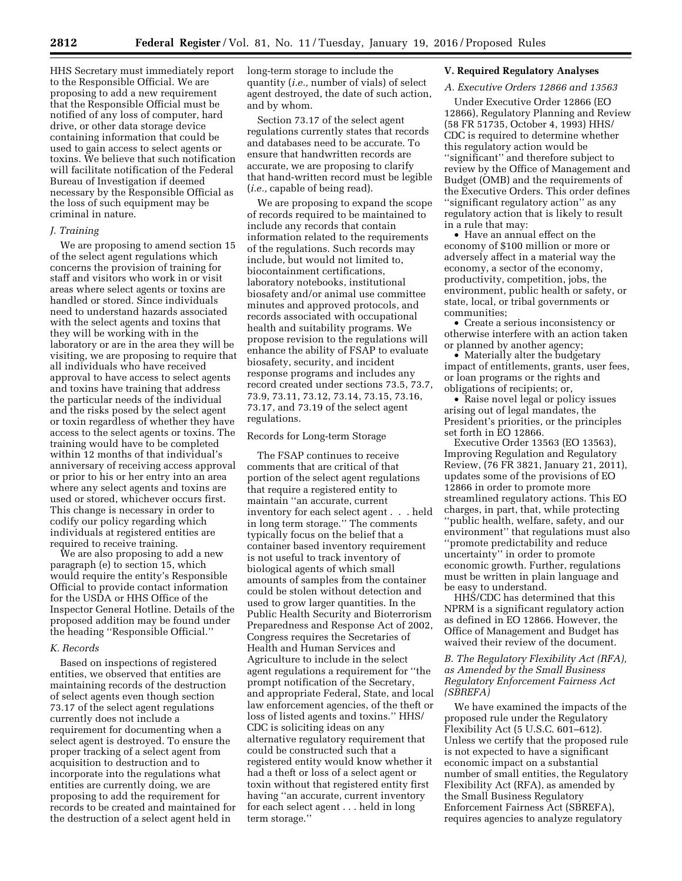HHS Secretary must immediately report to the Responsible Official. We are proposing to add a new requirement that the Responsible Official must be notified of any loss of computer, hard drive, or other data storage device containing information that could be used to gain access to select agents or toxins. We believe that such notification will facilitate notification of the Federal Bureau of Investigation if deemed necessary by the Responsible Official as the loss of such equipment may be criminal in nature.

### *J. Training*

We are proposing to amend section 15 of the select agent regulations which concerns the provision of training for staff and visitors who work in or visit areas where select agents or toxins are handled or stored. Since individuals need to understand hazards associated with the select agents and toxins that they will be working with in the laboratory or are in the area they will be visiting, we are proposing to require that all individuals who have received approval to have access to select agents and toxins have training that address the particular needs of the individual and the risks posed by the select agent or toxin regardless of whether they have access to the select agents or toxins. The training would have to be completed within 12 months of that individual's anniversary of receiving access approval or prior to his or her entry into an area where any select agents and toxins are used or stored, whichever occurs first. This change is necessary in order to codify our policy regarding which individuals at registered entities are required to receive training.

We are also proposing to add a new paragraph (e) to section 15, which would require the entity's Responsible Official to provide contact information for the USDA or HHS Office of the Inspector General Hotline. Details of the proposed addition may be found under the heading ''Responsible Official.''

#### *K. Records*

Based on inspections of registered entities, we observed that entities are maintaining records of the destruction of select agents even though section 73.17 of the select agent regulations currently does not include a requirement for documenting when a select agent is destroyed. To ensure the proper tracking of a select agent from acquisition to destruction and to incorporate into the regulations what entities are currently doing, we are proposing to add the requirement for records to be created and maintained for the destruction of a select agent held in

long-term storage to include the quantity (*i.e.,* number of vials) of select agent destroyed, the date of such action, and by whom.

Section 73.17 of the select agent regulations currently states that records and databases need to be accurate. To ensure that handwritten records are accurate, we are proposing to clarify that hand-written record must be legible (*i.e.,* capable of being read).

We are proposing to expand the scope of records required to be maintained to include any records that contain information related to the requirements of the regulations. Such records may include, but would not limited to, biocontainment certifications, laboratory notebooks, institutional biosafety and/or animal use committee minutes and approved protocols, and records associated with occupational health and suitability programs. We propose revision to the regulations will enhance the ability of FSAP to evaluate biosafety, security, and incident response programs and includes any record created under sections 73.5, 73.7, 73.9, 73.11, 73.12, 73.14, 73.15, 73.16, 73.17, and 73.19 of the select agent regulations.

#### Records for Long-term Storage

The FSAP continues to receive comments that are critical of that portion of the select agent regulations that require a registered entity to maintain ''an accurate, current inventory for each select agent . . . held in long term storage.'' The comments typically focus on the belief that a container based inventory requirement is not useful to track inventory of biological agents of which small amounts of samples from the container could be stolen without detection and used to grow larger quantities. In the Public Health Security and Bioterrorism Preparedness and Response Act of 2002, Congress requires the Secretaries of Health and Human Services and Agriculture to include in the select agent regulations a requirement for ''the prompt notification of the Secretary, and appropriate Federal, State, and local law enforcement agencies, of the theft or loss of listed agents and toxins.'' HHS/ CDC is soliciting ideas on any alternative regulatory requirement that could be constructed such that a registered entity would know whether it had a theft or loss of a select agent or toxin without that registered entity first having ''an accurate, current inventory for each select agent . . . held in long term storage.''

# **V. Required Regulatory Analyses**

# *A. Executive Orders 12866 and 13563*

Under Executive Order 12866 (EO 12866), Regulatory Planning and Review (58 FR 51735, October 4, 1993) HHS/ CDC is required to determine whether this regulatory action would be ''significant'' and therefore subject to review by the Office of Management and Budget (OMB) and the requirements of the Executive Orders. This order defines ''significant regulatory action'' as any regulatory action that is likely to result in a rule that may:

• Have an annual effect on the economy of \$100 million or more or adversely affect in a material way the economy, a sector of the economy, productivity, competition, jobs, the environment, public health or safety, or state, local, or tribal governments or communities;

• Create a serious inconsistency or otherwise interfere with an action taken or planned by another agency;

• Materially alter the budgetary impact of entitlements, grants, user fees, or loan programs or the rights and obligations of recipients; or,

• Raise novel legal or policy issues arising out of legal mandates, the President's priorities, or the principles set forth in EO 12866.

Executive Order 13563 (EO 13563), Improving Regulation and Regulatory Review, (76 FR 3821, January 21, 2011), updates some of the provisions of EO 12866 in order to promote more streamlined regulatory actions. This EO charges, in part, that, while protecting ''public health, welfare, safety, and our environment'' that regulations must also ''promote predictability and reduce uncertainty'' in order to promote economic growth. Further, regulations must be written in plain language and be easy to understand.

HHS/CDC has determined that this NPRM is a significant regulatory action as defined in EO 12866. However, the Office of Management and Budget has waived their review of the document.

# *B. The Regulatory Flexibility Act (RFA), as Amended by the Small Business Regulatory Enforcement Fairness Act (SBREFA)*

We have examined the impacts of the proposed rule under the Regulatory Flexibility Act (5 U.S.C. 601–612). Unless we certify that the proposed rule is not expected to have a significant economic impact on a substantial number of small entities, the Regulatory Flexibility Act (RFA), as amended by the Small Business Regulatory Enforcement Fairness Act (SBREFA), requires agencies to analyze regulatory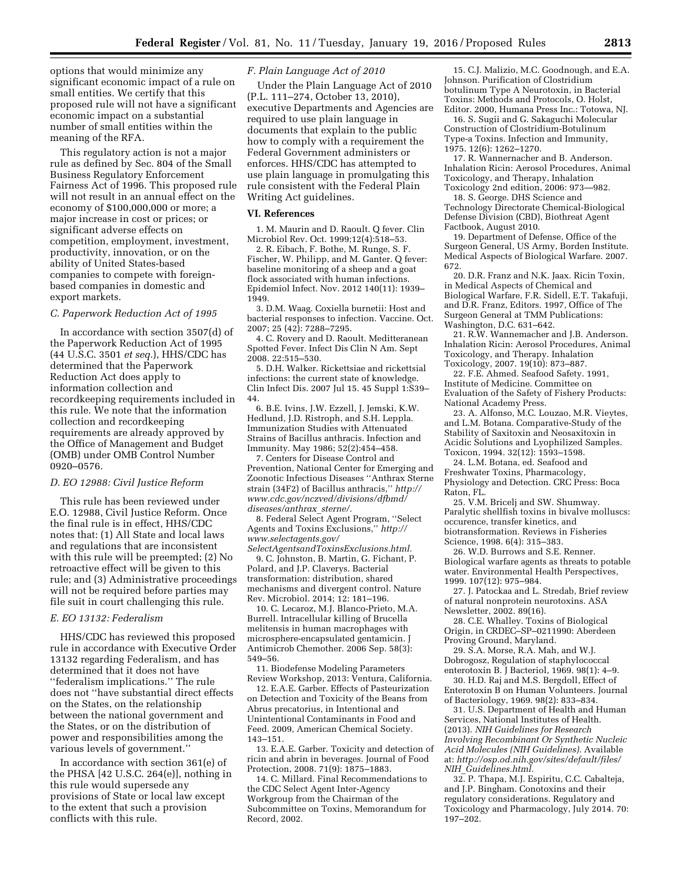options that would minimize any significant economic impact of a rule on small entities. We certify that this proposed rule will not have a significant economic impact on a substantial number of small entities within the meaning of the RFA.

This regulatory action is not a major rule as defined by Sec. 804 of the Small Business Regulatory Enforcement Fairness Act of 1996. This proposed rule will not result in an annual effect on the economy of \$100,000,000 or more; a major increase in cost or prices; or significant adverse effects on competition, employment, investment, productivity, innovation, or on the ability of United States-based companies to compete with foreignbased companies in domestic and export markets.

### *C. Paperwork Reduction Act of 1995*

In accordance with section 3507(d) of the Paperwork Reduction Act of 1995 (44 U.S.C. 3501 *et seq.*), HHS/CDC has determined that the Paperwork Reduction Act does apply to information collection and recordkeeping requirements included in this rule. We note that the information collection and recordkeeping requirements are already approved by the Office of Management and Budget (OMB) under OMB Control Number 0920–0576.

### *D. EO 12988: Civil Justice Reform*

This rule has been reviewed under E.O. 12988, Civil Justice Reform. Once the final rule is in effect, HHS/CDC notes that: (1) All State and local laws and regulations that are inconsistent with this rule will be preempted; (2) No retroactive effect will be given to this rule; and (3) Administrative proceedings will not be required before parties may file suit in court challenging this rule.

## *E. EO 13132: Federalism*

HHS/CDC has reviewed this proposed rule in accordance with Executive Order 13132 regarding Federalism, and has determined that it does not have ''federalism implications.'' The rule does not ''have substantial direct effects on the States, on the relationship between the national government and the States, or on the distribution of power and responsibilities among the various levels of government.''

In accordance with section 361(e) of the PHSA [42 U.S.C. 264(e)], nothing in this rule would supersede any provisions of State or local law except to the extent that such a provision conflicts with this rule.

# *F. Plain Language Act of 2010*

Under the Plain Language Act of 2010 (P.L. 111–274, October 13, 2010), executive Departments and Agencies are required to use plain language in documents that explain to the public how to comply with a requirement the Federal Government administers or enforces. HHS/CDC has attempted to use plain language in promulgating this rule consistent with the Federal Plain Writing Act guidelines.

### **VI. References**

1. M. Maurin and D. Raoult. Q fever. Clin Microbiol Rev. Oct. 1999;12(4):518–53.

2. R. Eibach, F. Bothe, M. Runge, S. F. Fischer, W. Philipp, and M. Ganter. Q fever: baseline monitoring of a sheep and a goat flock associated with human infections. Epidemiol Infect. Nov. 2012 140(11): 1939– 1949.

3. D.M. Waag. Coxiella burnetii: Host and bacterial responses to infection. Vaccine. Oct. 2007; 25 (42): 7288–7295.

4. C. Rovery and D. Raoult. Meditteranean Spotted Fever. Infect Dis Clin N Am. Sept 2008. 22:515–530.

5. D.H. Walker. Rickettsiae and rickettsial infections: the current state of knowledge. Clin Infect Dis. 2007 Jul 15. 45 Suppl 1:S39– 44.

6. B.E. Ivins, J.W. Ezzell, J. Jemski, K.W. Hedlund, J.D. Ristroph, and S.H. Leppla. Immunization Studies with Attenuated Strains of Bacillus anthracis. Infection and Immunity. May 1986; 52(2):454–458.

7. Centers for Disease Control and Prevention, National Center for Emerging and Zoonotic Infectious Diseases ''Anthrax Sterne strain (34F2) of Bacillus anthracis,'' *[http://](http://www.cdc.gov/nczved/divisions/dfbmd/diseases/anthrax_sterne/) [www.cdc.gov/nczved/divisions/dfbmd/](http://www.cdc.gov/nczved/divisions/dfbmd/diseases/anthrax_sterne/) [diseases/anthrax](http://www.cdc.gov/nczved/divisions/dfbmd/diseases/anthrax_sterne/)*\_*sterne/.* 

8. Federal Select Agent Program, ''Select Agents and Toxins Exclusions,'' *[http://](http://www.selectagents.gov/SelectAgentsandToxinsExclusions.html) [www.selectagents.gov/](http://www.selectagents.gov/SelectAgentsandToxinsExclusions.html)*

*[SelectAgentsandToxinsExclusions.html.](http://www.selectagents.gov/SelectAgentsandToxinsExclusions.html)*  9. C. Johnston, B. Martin, G. Fichant, P. Polard, and J.P. Claverys. Bacterial transformation: distribution, shared mechanisms and divergent control. Nature Rev. Microbiol. 2014; 12: 181–196.

10. C. Lecaroz, M.J. Blanco-Prieto, M.A. Burrell. Intracellular killing of Brucella melitensis in human macrophages with microsphere-encapsulated gentamicin. J Antimicrob Chemother. 2006 Sep. 58(3): 549–56.

11. Biodefense Modeling Parameters Review Workshop, 2013: Ventura, California.

12. E.A.E. Garber. Effects of Pasteurization on Detection and Toxicity of the Beans from Abrus precatorius, in Intentional and Unintentional Contaminants in Food and Feed. 2009, American Chemical Society. 143–151.

13. E.A.E. Garber. Toxicity and detection of ricin and abrin in beverages. Journal of Food Protection, 2008. 71(9): 1875–1883.

14. C. Millard. Final Recommendations to the CDC Select Agent Inter-Agency Workgroup from the Chairman of the Subcommittee on Toxins, Memorandum for Record, 2002.

15. C.J. Malizio, M.C. Goodnough, and E.A. Johnson. Purification of Clostridium botulinum Type A Neurotoxin, in Bacterial Toxins: Methods and Protocols, O. Holst, Editor. 2000, Humana Press Inc.: Totowa, NJ.

16. S. Sugii and G. Sakaguchi Molecular Construction of Clostridium-Botulinum Type-a Toxins. Infection and Immunity, 1975. 12(6): 1262–1270.

17. R. Wannernacher and B. Anderson. Inhalation Ricin: Aerosol Procedures, Animal Toxicology, and Therapy, Inhalation Toxicology 2nd edition, 2006: 973—982.

18. S. George. DHS Science and Technology Directorate Chemical-Biological Defense Division (CBD), Biothreat Agent Factbook, August 2010.

19. Department of Defense, Office of the Surgeon General, US Army, Borden Institute. Medical Aspects of Biological Warfare. 2007. 672.

20. D.R. Franz and N.K. Jaax. Ricin Toxin, in Medical Aspects of Chemical and Biological Warfare, F.R. Sidell, E.T. Takafuji, and D.R. Franz, Editors. 1997, Office of The Surgeon General at TMM Publications: Washington, D.C. 631–642.

21. R.W. Wannemacher and J.B. Anderson. Inhalation Ricin: Aerosol Procedures, Animal Toxicology, and Therapy. Inhalation Toxicology, 2007. 19(10): 873–887.

22. F.E. Ahmed. Seafood Safety. 1991, Institute of Medicine. Committee on Evaluation of the Safety of Fishery Products: National Academy Press.

23. A. Alfonso, M.C. Louzao, M.R. Vieytes, and L.M. Botana. Comparative-Study of the Stability of Saxitoxin and Neosaxitoxin in Acidic Solutions and Lyophilized Samples. Toxicon, 1994. 32(12): 1593–1598.

24. L.M. Botana, ed. Seafood and Freshwater Toxins, Pharmacology, Physiology and Detection. CRC Press: Boca Raton, FL.

25. V.M. Bricelj and SW. Shumway. Paralytic shellfish toxins in bivalve molluscs: occurence, transfer kinetics, and biotransformation. Reviews in Fisheries Science, 1998. 6(4): 315–383.

26. W.D. Burrows and S.E. Renner. Biological warfare agents as threats to potable water. Environmental Health Perspectives, 1999. 107(12): 975–984.

27. J. Patockaa and L. Stredab, Brief review of natural nonprotein neurotoxins. ASA Newsletter, 2002. 89(16).

28. C.E. Whalley. Toxins of Biological Origin, in CRDEC–SP–0211990: Aberdeen Proving Ground, Maryland.

29. S.A. Morse, R.A. Mah, and W.J. Dobrogosz, Regulation of staphylococcal enterotoxin B. J Bacteriol, 1969. 98(1): 4–9.

30. H.D. Raj and M.S. Bergdoll, Effect of Enterotoxin B on Human Volunteers. Journal of Bacteriology, 1969. 98(2): 833–834.

31. U.S. Department of Health and Human Services, National Institutes of Health. (2013). *NIH Guidelines for Research Involving Recombinant Or Synthetic Nucleic Acid Molecules (NIH Guidelines).* Available at: *[http://osp.od.nih.gov/sites/default/files/](http://osp.od.nih.gov/sites/default/files/NIH_Guidelines.html) NIH*\_*[Guidelines.html.](http://osp.od.nih.gov/sites/default/files/NIH_Guidelines.html)* 

32. P. Thapa, M.J. Espiritu, C.C. Cabalteja, and J.P. Bingham. Conotoxins and their regulatory considerations. Regulatory and Toxicology and Pharmacology, July 2014. 70: 197–202.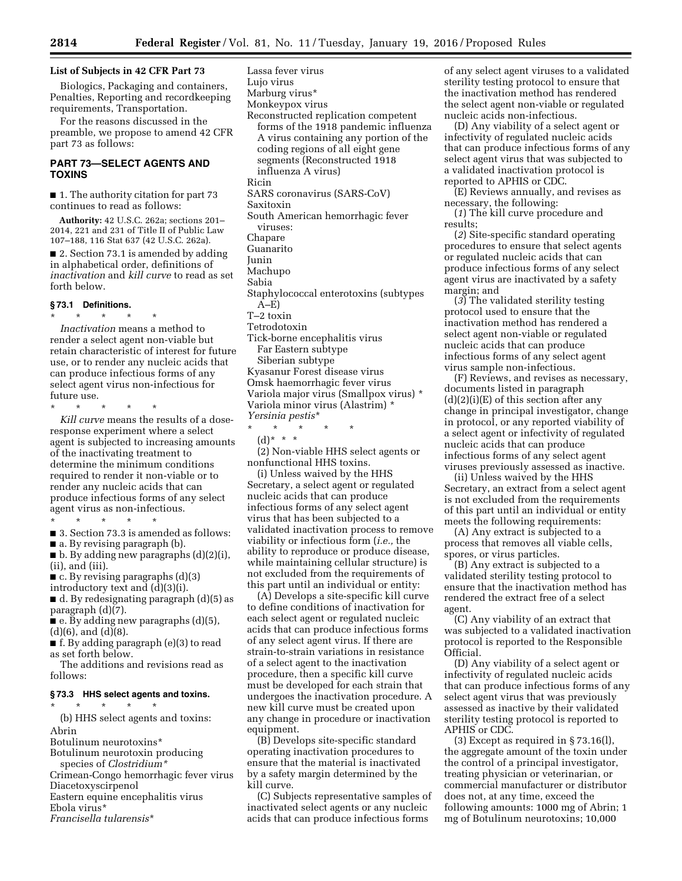# **List of Subjects in 42 CFR Part 73**

Biologics, Packaging and containers, Penalties, Reporting and recordkeeping requirements, Transportation.

For the reasons discussed in the preamble, we propose to amend 42 CFR part 73 as follows:

# **PART 73—SELECT AGENTS AND TOXINS**

■ 1. The authority citation for part 73 continues to read as follows:

**Authority:** 42 U.S.C. 262a; sections 201– 2014, 221 and 231 of Title II of Public Law 107–188, 116 Stat 637 (42 U.S.C. 262a).

■ 2. Section 73.1 is amended by adding in alphabetical order, definitions of *inactivation* and *kill curve* to read as set forth below.

### **§ 73.1 Definitions.**

\* \* \* \* \*

*Inactivation* means a method to render a select agent non-viable but retain characteristic of interest for future use, or to render any nucleic acids that can produce infectious forms of any select agent virus non-infectious for future use.

\* \* \* \* \*

*Kill curve* means the results of a doseresponse experiment where a select agent is subjected to increasing amounts of the inactivating treatment to determine the minimum conditions required to render it non-viable or to render any nucleic acids that can produce infectious forms of any select agent virus as non-infectious.

\* \* \* \* \*

■ 3. Section 73.3 is amended as follows: ■ a. By revising paragraph (b).

 $\blacksquare$  b. By adding new paragraphs  $(d)(2)(i)$ , (ii), and (iii).

 $\blacksquare$  c. By revising paragraphs (d)(3)

introductory text and (d)(3)(i).

■ d. By redesignating paragraph (d)(5) as paragraph (d)(7).

 $\blacksquare$  e. By adding new paragraphs (d)(5), (d)(6), and (d)(8).

■ f. By adding paragraph (e)(3) to read as set forth below.

The additions and revisions read as follows:

### **§ 73.3 HHS select agents and toxins.**

\* \* \* \* \*

(b) HHS select agents and toxins: Abrin

Botulinum neurotoxins\*

Botulinum neurotoxin producing species of *Clostridium\** 

Crimean-Congo hemorrhagic fever virus

Diacetoxyscirpenol

Eastern equine encephalitis virus

Ebola virus\*

*Francisella tularensis*\*

Lassa fever virus Lujo virus Marburg virus\* Monkeypox virus Reconstructed replication competent forms of the 1918 pandemic influenza A virus containing any portion of the coding regions of all eight gene segments (Reconstructed 1918 influenza A virus) Ricin SARS coronavirus (SARS-CoV) Saxitoxin South American hemorrhagic fever viruses: Chapare Guanarito Junin Machupo Sabia Staphylococcal enterotoxins (subtypes  $A-E$ T–2 toxin Tetrodotoxin Tick-borne encephalitis virus Far Eastern subtype

Siberian subtype

Kyasanur Forest disease virus Omsk haemorrhagic fever virus Variola major virus (Smallpox virus) \* Variola minor virus (Alastrim) \* *Yersinia pestis*\*

\* \* \* \* \*

 $(d) * * * *$ 

(2) Non-viable HHS select agents or nonfunctional HHS toxins.

(i) Unless waived by the HHS Secretary, a select agent or regulated nucleic acids that can produce infectious forms of any select agent virus that has been subjected to a validated inactivation process to remove viability or infectious form (*i.e.,* the ability to reproduce or produce disease, while maintaining cellular structure) is not excluded from the requirements of this part until an individual or entity:

(A) Develops a site-specific kill curve to define conditions of inactivation for each select agent or regulated nucleic acids that can produce infectious forms of any select agent virus. If there are strain-to-strain variations in resistance of a select agent to the inactivation procedure, then a specific kill curve must be developed for each strain that undergoes the inactivation procedure. A new kill curve must be created upon any change in procedure or inactivation equipment.

(B) Develops site-specific standard operating inactivation procedures to ensure that the material is inactivated by a safety margin determined by the kill curve.

(C) Subjects representative samples of inactivated select agents or any nucleic acids that can produce infectious forms

of any select agent viruses to a validated sterility testing protocol to ensure that the inactivation method has rendered the select agent non-viable or regulated nucleic acids non-infectious.

(D) Any viability of a select agent or infectivity of regulated nucleic acids that can produce infectious forms of any select agent virus that was subjected to a validated inactivation protocol is reported to APHIS or CDC.

(E) Reviews annually, and revises as necessary, the following:

(*1*) The kill curve procedure and results;

(*2*) Site-specific standard operating procedures to ensure that select agents or regulated nucleic acids that can produce infectious forms of any select agent virus are inactivated by a safety margin; and

(*3*) The validated sterility testing protocol used to ensure that the inactivation method has rendered a select agent non-viable or regulated nucleic acids that can produce infectious forms of any select agent virus sample non-infectious.

(F) Reviews, and revises as necessary, documents listed in paragraph  $(d)(2)(i)(E)$  of this section after any change in principal investigator, change in protocol, or any reported viability of a select agent or infectivity of regulated nucleic acids that can produce infectious forms of any select agent viruses previously assessed as inactive.

(ii) Unless waived by the HHS Secretary, an extract from a select agent is not excluded from the requirements of this part until an individual or entity meets the following requirements:

(A) Any extract is subjected to a process that removes all viable cells, spores, or virus particles.

(B) Any extract is subjected to a validated sterility testing protocol to ensure that the inactivation method has rendered the extract free of a select agent.

(C) Any viability of an extract that was subjected to a validated inactivation protocol is reported to the Responsible Official.

(D) Any viability of a select agent or infectivity of regulated nucleic acids that can produce infectious forms of any select agent virus that was previously assessed as inactive by their validated sterility testing protocol is reported to APHIS or CDC.

(3) Except as required in § 73.16(l), the aggregate amount of the toxin under the control of a principal investigator, treating physician or veterinarian, or commercial manufacturer or distributor does not, at any time, exceed the following amounts: 1000 mg of Abrin; 1 mg of Botulinum neurotoxins; 10,000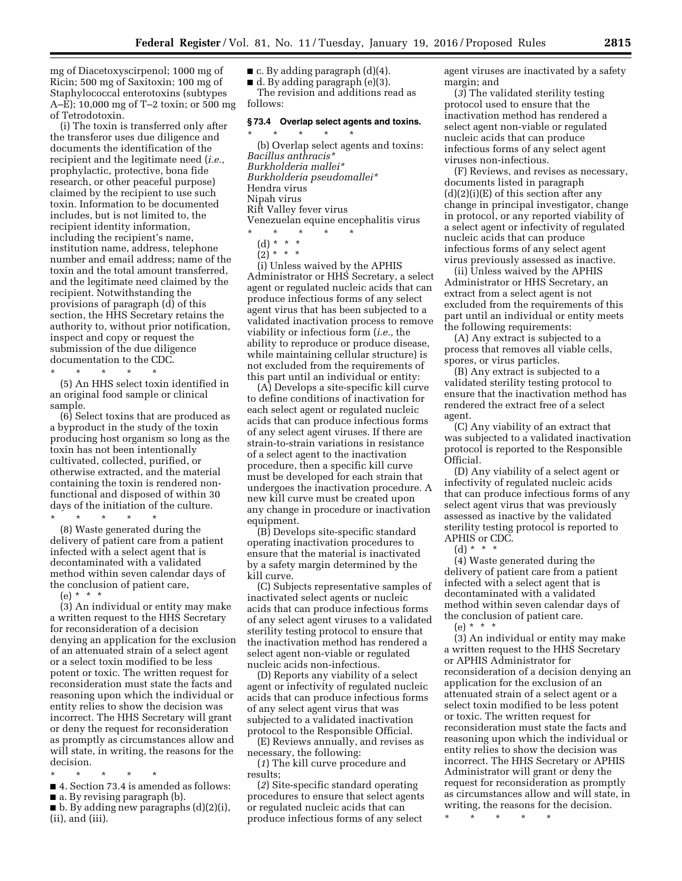mg of Diacetoxyscirpenol; 1000 mg of Ricin; 500 mg of Saxitoxin; 100 mg of Staphylococcal enterotoxins (subtypes A–E); 10,000 mg of T–2 toxin; or 500 mg of Tetrodotoxin.

(i) The toxin is transferred only after the transferor uses due diligence and documents the identification of the recipient and the legitimate need (*i.e.,*  prophylactic, protective, bona fide research, or other peaceful purpose) claimed by the recipient to use such toxin. Information to be documented includes, but is not limited to, the recipient identity information, including the recipient's name, institution name, address, telephone number and email address; name of the toxin and the total amount transferred, and the legitimate need claimed by the recipient. Notwithstanding the provisions of paragraph (d) of this section, the HHS Secretary retains the authority to, without prior notification, inspect and copy or request the submission of the due diligence documentation to the CDC.

\* \* \* \* \* (5) An HHS select toxin identified in an original food sample or clinical

sample. (6) Select toxins that are produced as a byproduct in the study of the toxin producing host organism so long as the toxin has not been intentionally cultivated, collected, purified, or otherwise extracted, and the material containing the toxin is rendered nonfunctional and disposed of within 30 days of the initiation of the culture.

\* \* \* \* \*

(8) Waste generated during the delivery of patient care from a patient infected with a select agent that is decontaminated with a validated method within seven calendar days of the conclusion of patient care,

(e) \* \* \*

(3) An individual or entity may make a written request to the HHS Secretary for reconsideration of a decision denying an application for the exclusion of an attenuated strain of a select agent or a select toxin modified to be less potent or toxic. The written request for reconsideration must state the facts and reasoning upon which the individual or entity relies to show the decision was incorrect. The HHS Secretary will grant or deny the request for reconsideration as promptly as circumstances allow and will state, in writing, the reasons for the decision.

- \* \* \* \* \*
- 4. Section 73.4 is amended as follows:
- a. By revising paragraph (b).

■ b. By adding new paragraphs (d)(2)(i), (ii), and (iii).

 $\blacksquare$  c. By adding paragraph  $(d)(4)$ .

 $\blacksquare$  d. By adding paragraph (e)(3). The revision and additions read as follows:

## **§ 73.4 Overlap select agents and toxins.**

\* \* \* \* \* (b) Overlap select agents and toxins: *Bacillus anthracis\* Burkholderia mallei\* Burkholderia pseudomallei\**  Hendra virus Nipah virus Rift Valley fever virus Venezuelan equine encephalitis virus

- \* \* \* \* \*
- (d) \* \* \*
- $(2)^*$  \* \* \*

(i) Unless waived by the APHIS Administrator or HHS Secretary, a select agent or regulated nucleic acids that can produce infectious forms of any select agent virus that has been subjected to a validated inactivation process to remove viability or infectious form (*i.e.,* the ability to reproduce or produce disease, while maintaining cellular structure) is not excluded from the requirements of this part until an individual or entity:

(A) Develops a site-specific kill curve to define conditions of inactivation for each select agent or regulated nucleic acids that can produce infectious forms of any select agent viruses. If there are strain-to-strain variations in resistance of a select agent to the inactivation procedure, then a specific kill curve must be developed for each strain that undergoes the inactivation procedure. A new kill curve must be created upon any change in procedure or inactivation equipment.

(B) Develops site-specific standard operating inactivation procedures to ensure that the material is inactivated by a safety margin determined by the kill curve.

(C) Subjects representative samples of inactivated select agents or nucleic acids that can produce infectious forms of any select agent viruses to a validated sterility testing protocol to ensure that the inactivation method has rendered a select agent non-viable or regulated nucleic acids non-infectious.

(D) Reports any viability of a select agent or infectivity of regulated nucleic acids that can produce infectious forms of any select agent virus that was subjected to a validated inactivation protocol to the Responsible Official.

(E) Reviews annually, and revises as necessary, the following: (*1*) The kill curve procedure and

results;

(*2*) Site-specific standard operating procedures to ensure that select agents or regulated nucleic acids that can produce infectious forms of any select

agent viruses are inactivated by a safety margin; and

(*3*) The validated sterility testing protocol used to ensure that the inactivation method has rendered a select agent non-viable or regulated nucleic acids that can produce infectious forms of any select agent viruses non-infectious.

(F) Reviews, and revises as necessary, documents listed in paragraph  $(d)(2)(i)(E)$  of this section after any change in principal investigator, change in protocol, or any reported viability of a select agent or infectivity of regulated nucleic acids that can produce infectious forms of any select agent virus previously assessed as inactive.

(ii) Unless waived by the APHIS Administrator or HHS Secretary, an extract from a select agent is not excluded from the requirements of this part until an individual or entity meets the following requirements:

(A) Any extract is subjected to a process that removes all viable cells, spores, or virus particles.

(B) Any extract is subjected to a validated sterility testing protocol to ensure that the inactivation method has rendered the extract free of a select agent.

(C) Any viability of an extract that was subjected to a validated inactivation protocol is reported to the Responsible Official.

(D) Any viability of a select agent or infectivity of regulated nucleic acids that can produce infectious forms of any select agent virus that was previously assessed as inactive by the validated sterility testing protocol is reported to APHIS or CDC.

 $(d) * * * *$ 

(4) Waste generated during the delivery of patient care from a patient infected with a select agent that is decontaminated with a validated method within seven calendar days of the conclusion of patient care.

(e) \* \* \*

(3) An individual or entity may make a written request to the HHS Secretary or APHIS Administrator for reconsideration of a decision denying an application for the exclusion of an attenuated strain of a select agent or a select toxin modified to be less potent or toxic. The written request for reconsideration must state the facts and reasoning upon which the individual or entity relies to show the decision was incorrect. The HHS Secretary or APHIS Administrator will grant or deny the request for reconsideration as promptly as circumstances allow and will state, in writing, the reasons for the decision.

\* \* \* \* \*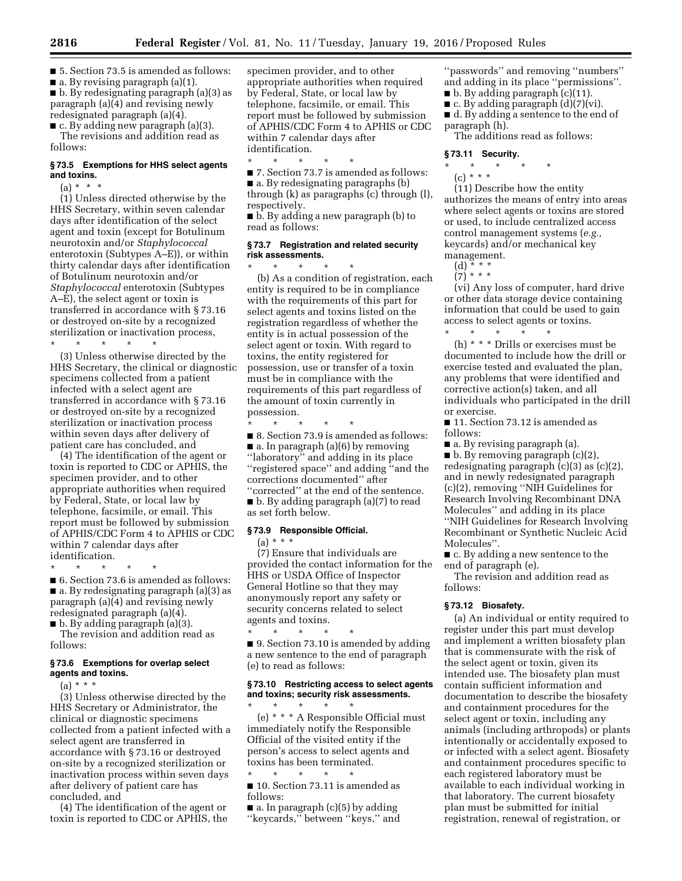■ 5. Section 73.5 is amended as follows:  $\blacksquare$  a. By revising paragraph (a)(1). ■ b. By redesignating paragraph (a)(3) as paragraph (a)(4) and revising newly redesignated paragraph (a)(4).

 $\blacksquare$  c. By adding new paragraph (a)(3). The revisions and addition read as follows:

### **§ 73.5 Exemptions for HHS select agents and toxins.**

 $(a) * * * *$ 

(1) Unless directed otherwise by the HHS Secretary, within seven calendar days after identification of the select agent and toxin (except for Botulinum neurotoxin and/or *Staphylococcal*  enterotoxin (Subtypes A–E)), or within thirty calendar days after identification of Botulinum neurotoxin and/or *Staphylococcal* enterotoxin (Subtypes A–E), the select agent or toxin is transferred in accordance with § 73.16 or destroyed on-site by a recognized sterilization or inactivation process,

\* \* \* \* \*

(3) Unless otherwise directed by the HHS Secretary, the clinical or diagnostic specimens collected from a patient infected with a select agent are transferred in accordance with § 73.16 or destroyed on-site by a recognized sterilization or inactivation process within seven days after delivery of patient care has concluded, and

(4) The identification of the agent or toxin is reported to CDC or APHIS, the specimen provider, and to other appropriate authorities when required by Federal, State, or local law by telephone, facsimile, or email. This report must be followed by submission of APHIS/CDC Form 4 to APHIS or CDC within 7 calendar days after identification.

\* \* \* \* \*

■ 6. Section 73.6 is amended as follows: ■ a. By redesignating paragraph (a)(3) as paragraph (a)(4) and revising newly redesignated paragraph (a)(4).

■ b. By adding paragraph (a)(3).

The revision and addition read as follows:

### **§ 73.6 Exemptions for overlap select agents and toxins.**

 $(a) * * * *$ 

(3) Unless otherwise directed by the HHS Secretary or Administrator, the clinical or diagnostic specimens collected from a patient infected with a select agent are transferred in accordance with § 73.16 or destroyed on-site by a recognized sterilization or inactivation process within seven days after delivery of patient care has concluded, and

(4) The identification of the agent or toxin is reported to CDC or APHIS, the specimen provider, and to other appropriate authorities when required by Federal, State, or local law by telephone, facsimile, or email. This report must be followed by submission of APHIS/CDC Form 4 to APHIS or CDC within 7 calendar days after identification.

\* \* \* \* \* ■ 7. Section 73.7 is amended as follows: ■ a. By redesignating paragraphs (b) through (k) as paragraphs (c) through (l), respectively.

■ b. By adding a new paragraph (b) to read as follows:

## **§ 73.7 Registration and related security risk assessments.**  \* \* \* \* \*

(b) As a condition of registration, each entity is required to be in compliance with the requirements of this part for select agents and toxins listed on the registration regardless of whether the entity is in actual possession of the select agent or toxin. With regard to toxins, the entity registered for possession, use or transfer of a toxin must be in compliance with the requirements of this part regardless of the amount of toxin currently in possession.

\* \* \* \* \* ■ 8. Section 73.9 is amended as follows:  $\blacksquare$  a. In paragraph (a)(6) by removing "laboratory" and adding in its place ''registered space'' and adding ''and the corrections documented'' after ''corrected'' at the end of the sentence.

■ b. By adding paragraph (a)(7) to read as set forth below.

# **§ 73.9 Responsible Official.**

 $(a) * * * *$ 

(7) Ensure that individuals are provided the contact information for the HHS or USDA Office of Inspector General Hotline so that they may anonymously report any safety or security concerns related to select agents and toxins.

\* \* \* \* \* ■ 9. Section 73.10 is amended by adding a new sentence to the end of paragraph (e) to read as follows:

# **§ 73.10 Restricting access to select agents and toxins; security risk assessments.**

 $\star$   $\qquad$   $\star$   $\qquad$   $\star$   $\qquad$   $\star$ (e) \* \* \* A Responsible Official must immediately notify the Responsible Official of the visited entity if the person's access to select agents and toxins has been terminated.

\* \* \* \* \* ■ 10. Section 73.11 is amended as follows:

 $\blacksquare$  a. In paragraph (c)(5) by adding ''keycards,'' between ''keys,'' and ''passwords'' and removing ''numbers'' and adding in its place ''permissions''.

- $\blacksquare$  b. By adding paragraph (c)(11).
- $\blacksquare$  c. By adding paragraph  $(d)(7)(vi)$ .
- d. By adding a sentence to the end of paragraph (h).

The additions read as follows:

### **§ 73.11 Security.**

- \* \* \* \* \*
	- (c) \* \* \*

(11) Describe how the entity authorizes the means of entry into areas where select agents or toxins are stored or used, to include centralized access control management systems (*e.g.,*  keycards) and/or mechanical key management.

- (d) \* \* \*  $(7)$  \* \* \*
- 

(vi) Any loss of computer, hard drive or other data storage device containing information that could be used to gain access to select agents or toxins.  $\star$   $\qquad$   $\star$   $\qquad$   $\star$   $\qquad$   $\star$ 

(h) \* \* \* Drills or exercises must be documented to include how the drill or exercise tested and evaluated the plan, any problems that were identified and corrective action(s) taken, and all individuals who participated in the drill or exercise.

■ 11. Section 73.12 is amended as follows:

■ a. By revising paragraph (a).

 $\blacksquare$  b. By removing paragraph (c)(2), redesignating paragraph (c)(3) as (c)(2), and in newly redesignated paragraph (c)(2), removing ''NIH Guidelines for Research Involving Recombinant DNA Molecules'' and adding in its place ''NIH Guidelines for Research Involving Recombinant or Synthetic Nucleic Acid Molecules''.

■ c. By adding a new sentence to the end of paragraph (e).

The revision and addition read as follows:

# **§ 73.12 Biosafety.**

(a) An individual or entity required to register under this part must develop and implement a written biosafety plan that is commensurate with the risk of the select agent or toxin, given its intended use. The biosafety plan must contain sufficient information and documentation to describe the biosafety and containment procedures for the select agent or toxin, including any animals (including arthropods) or plants intentionally or accidentally exposed to or infected with a select agent. Biosafety and containment procedures specific to each registered laboratory must be available to each individual working in that laboratory. The current biosafety plan must be submitted for initial registration, renewal of registration, or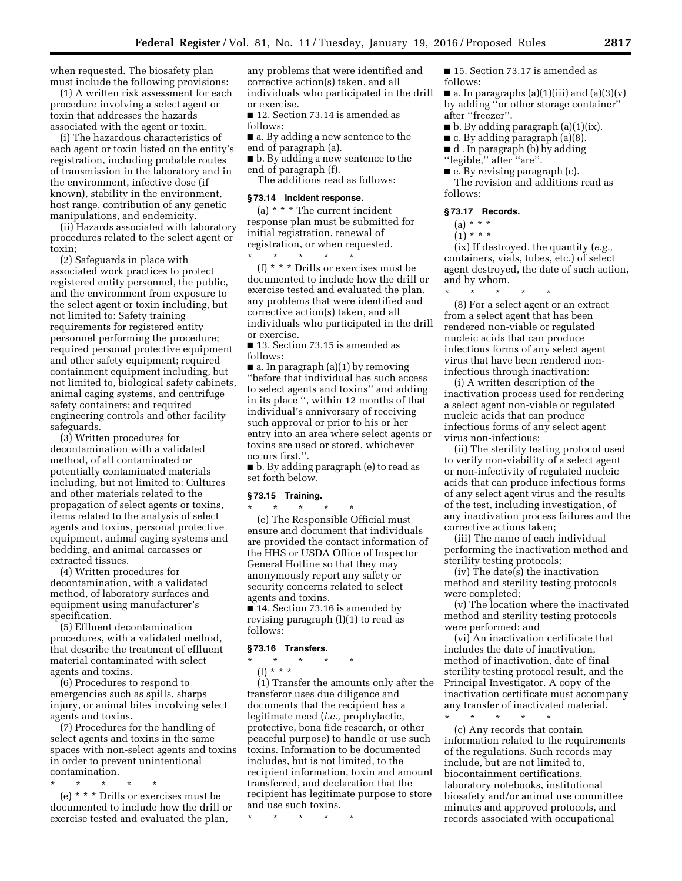when requested. The biosafety plan must include the following provisions:

(1) A written risk assessment for each procedure involving a select agent or toxin that addresses the hazards associated with the agent or toxin.

(i) The hazardous characteristics of each agent or toxin listed on the entity's registration, including probable routes of transmission in the laboratory and in the environment, infective dose (if known), stability in the environment, host range, contribution of any genetic manipulations, and endemicity.

(ii) Hazards associated with laboratory procedures related to the select agent or toxin;

(2) Safeguards in place with associated work practices to protect registered entity personnel, the public, and the environment from exposure to the select agent or toxin including, but not limited to: Safety training requirements for registered entity personnel performing the procedure; required personal protective equipment and other safety equipment; required containment equipment including, but not limited to, biological safety cabinets, animal caging systems, and centrifuge safety containers; and required engineering controls and other facility safeguards.

(3) Written procedures for decontamination with a validated method, of all contaminated or potentially contaminated materials including, but not limited to: Cultures and other materials related to the propagation of select agents or toxins, items related to the analysis of select agents and toxins, personal protective equipment, animal caging systems and bedding, and animal carcasses or extracted tissues.

(4) Written procedures for decontamination, with a validated method, of laboratory surfaces and equipment using manufacturer's specification.

(5) Effluent decontamination procedures, with a validated method, that describe the treatment of effluent material contaminated with select agents and toxins.

(6) Procedures to respond to emergencies such as spills, sharps injury, or animal bites involving select agents and toxins.

(7) Procedures for the handling of select agents and toxins in the same spaces with non-select agents and toxins in order to prevent unintentional contamination.

\* \* \* \* \*

(e) \* \* \* Drills or exercises must be documented to include how the drill or exercise tested and evaluated the plan,

any problems that were identified and corrective action(s) taken, and all individuals who participated in the drill or exercise.

■ 12. Section 73.14 is amended as follows:

■ a. By adding a new sentence to the end of paragraph (a).

■ b. By adding a new sentence to the end of paragraph (f).

The additions read as follows:

#### **§ 73.14 Incident response.**

(a) \* \* \* The current incident response plan must be submitted for initial registration, renewal of registration, or when requested.

\* \* \* \* \*

(f) \* \* \* Drills or exercises must be documented to include how the drill or exercise tested and evaluated the plan, any problems that were identified and corrective action(s) taken, and all individuals who participated in the drill or exercise.

■ 13. Section 73.15 is amended as follows:

 $\blacksquare$  a. In paragraph (a)(1) by removing ''before that individual has such access to select agents and toxins'' and adding in its place '', within 12 months of that individual's anniversary of receiving such approval or prior to his or her entry into an area where select agents or toxins are used or stored, whichever occurs first.''.

■ b. By adding paragraph (e) to read as set forth below.

### **§ 73.15 Training.**

\* \* \* \* \* (e) The Responsible Official must ensure and document that individuals are provided the contact information of the HHS or USDA Office of Inspector General Hotline so that they may anonymously report any safety or security concerns related to select agents and toxins.

■ 14. Section 73.16 is amended by revising paragraph (l)(1) to read as follows:

## **§ 73.16 Transfers.**

\* \* \* \* \*

(l) \* \* \* (1) Transfer the amounts only after the transferor uses due diligence and documents that the recipient has a legitimate need (*i.e.,* prophylactic, protective, bona fide research, or other peaceful purpose) to handle or use such toxins. Information to be documented includes, but is not limited, to the recipient information, toxin and amount transferred, and declaration that the recipient has legitimate purpose to store and use such toxins.

\* \* \* \* \*

■ 15. Section 73.17 is amended as follows:

 $\blacksquare$  a. In paragraphs (a)(1)(iii) and (a)(3)(v) by adding ''or other storage container'' after ''freezer''.

- b. By adding paragraph (a)(1)(ix).
- $\blacksquare$  c. By adding paragraph (a)(8).

■ d . In paragraph (b) by adding

- ''legible,'' after ''are''.
- e. By revising paragraph (c).

The revision and additions read as follows:

### **§ 73.17 Records.**

- $(a) * * * *$
- $(1)$  \* \* \*

(ix) If destroyed, the quantity (*e.g.,*  containers, vials, tubes, etc.) of select agent destroyed, the date of such action, and by whom.

\* \* \* \* \*

(8) For a select agent or an extract from a select agent that has been rendered non-viable or regulated nucleic acids that can produce infectious forms of any select agent virus that have been rendered noninfectious through inactivation:

(i) A written description of the inactivation process used for rendering a select agent non-viable or regulated nucleic acids that can produce infectious forms of any select agent virus non-infectious;

(ii) The sterility testing protocol used to verify non-viability of a select agent or non-infectivity of regulated nucleic acids that can produce infectious forms of any select agent virus and the results of the test, including investigation, of any inactivation process failures and the corrective actions taken;

(iii) The name of each individual performing the inactivation method and sterility testing protocols;

(iv) The date(s) the inactivation method and sterility testing protocols were completed;

(v) The location where the inactivated method and sterility testing protocols were performed; and

(vi) An inactivation certificate that includes the date of inactivation, method of inactivation, date of final sterility testing protocol result, and the Principal Investigator. A copy of the inactivation certificate must accompany any transfer of inactivated material.

\* \* \* \* \* (c) Any records that contain information related to the requirements of the regulations. Such records may include, but are not limited to, biocontainment certifications, laboratory notebooks, institutional biosafety and/or animal use committee minutes and approved protocols, and records associated with occupational